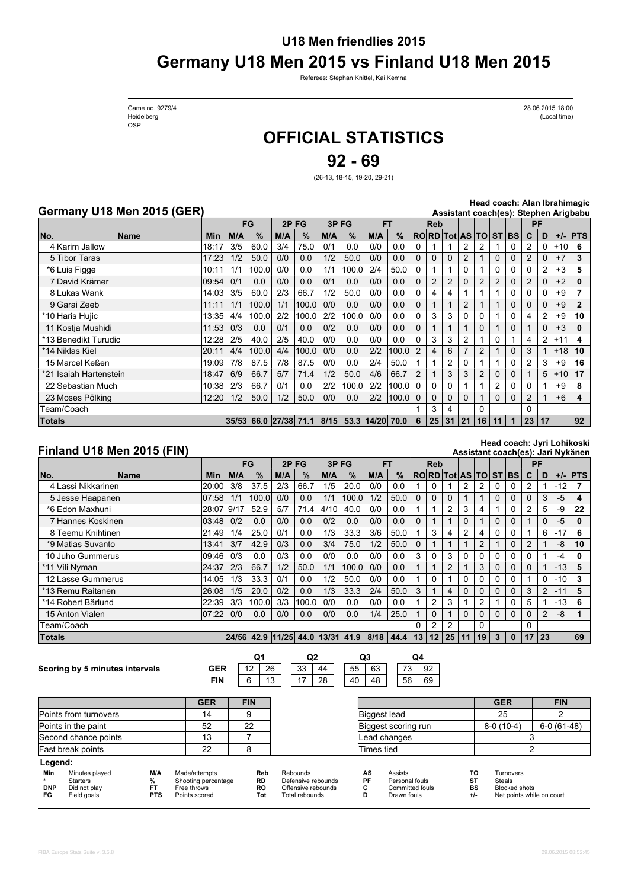## **U18 Men friendlies 2015 Germany U18 Men 2015 vs Finland U18 Men 2015**

Referees: Stephan Knittel, Kai Kemna

Game no. 9279/4 OSP

Heidelberg (Local time) 28.06.2015 18:00

# **OFFICIAL STATISTICS**

**92 - 69**

(26-13, 18-15, 19-20, 29-21)

#### **Germany U18 Men 2015 (GER)**

**Head coach: Alan Ibrahimagic**

|        | Germany U18 Men 2015 (GER) | Assistant coach(es): Stephen Arigbabu |     |       |     |                            |      |                       |           |       |                |              |          |                |                |               |             |                |          |       |              |
|--------|----------------------------|---------------------------------------|-----|-------|-----|----------------------------|------|-----------------------|-----------|-------|----------------|--------------|----------|----------------|----------------|---------------|-------------|----------------|----------|-------|--------------|
|        |                            |                                       |     | FG    |     | 2PFG                       | 3PFG |                       | <b>FT</b> |       |                | <b>Reb</b>   |          |                |                |               |             | PF             |          |       |              |
| No.    | <b>Name</b>                | Min                                   | M/A | $\%$  | M/A | $\%$                       | M/A  | $\%$                  | M/A       | $\%$  |                |              |          | RORD Tot AS TO |                | ST BS         |             | $\mathbf{C}$   | D        | $+/-$ | <b>PTS</b>   |
|        | 4 Karim Jallow             | 18:17                                 | 3/5 | 60.0  | 3/4 | 75.0                       | 0/1  | 0.0                   | 0/0       | 0.0   |                |              |          | 2              | 2              |               | 0           |                | $\Omega$ | $+10$ | 6            |
|        | 5 Tibor Taras              | 17:23                                 | 1/2 | 50.0  | 0/0 | 0.0                        | 1/2  | 50.0                  | 0/0       | 0.0   |                | $\Omega$     | $\Omega$ | $\overline{c}$ |                | $\Omega$      | $\Omega$    | 2              | $\Omega$ | $+7$  | 3            |
|        | *6 Luis Figge              | 10:11                                 | 1/1 | 100.0 | 0/0 | 0.0                        | 1/1  | 100.0                 | 2/4       | 50.0  | 0              |              |          | 0              |                | 0             | 0           |                |          | $+3$  | 5            |
|        | 7 David Krämer             | 09:54                                 | 0/1 | 0.0   | 0/0 | 0.0                        | 0/1  | 0.0                   | 0/0       | 0.0   |                | 2            | 2        |                | $\overline{2}$ | 2             | $\Omega$    | $\overline{2}$ | 0        | $+2$  | 0            |
|        | 8 Lukas Wank               | 14:03                                 | 3/5 | 60.0  | 2/3 | 66.7                       | 1/2  | 50.0                  | 0/0       | 0.0   |                | 4            | 4        |                |                |               | $\Omega$    |                | 0        | $+9$  |              |
|        | 9 Garai Zeeb               | 11:11                                 | 1/1 | 100.0 | 1/1 | 100.0l                     | 0/0  | 0.0                   | 0/0       | 0.0   |                |              |          | $\overline{c}$ |                |               | $\Omega$    |                | $\Omega$ | $+9$  | $\mathbf{2}$ |
|        | *10 Haris Hujic            | 13:35                                 | 4/4 | 100.0 | 2/2 | 100.0l                     | 2/2  | 100.0                 | 0/0       | 0.0   | 0              | 3            | 3        | 0              | 0              |               | $\Omega$    | 4              | 2        | $+9$  | 10           |
|        | 11 Kostja Mushidi          | 11:53                                 | 0/3 | 0.0   | 0/1 | 0.0                        | 0/2  | 0.0                   | 0/0       | 0.0   | 0              |              |          |                | 0              |               | $\Omega$    |                | $\Omega$ | $+3$  | 0            |
|        | *13 Benedikt Turudic       | 12:28                                 | 2/5 | 40.0  | 2/5 | 40.0                       | 0/0  | 0.0                   | 0/0       | 0.0   | 0              | 3            | 3        | 2              |                | 0             |             | 4              | 2        | +11   | 4            |
|        | *14 Niklas Kiel            | 20:11                                 | 4/4 | 100.0 | 4/4 | 100.0                      | 0/0  | 0.0                   | 2/2       | 100.0 | 2              | 4            | 6        |                | 2              |               | $\Omega$    | 3              |          | $+18$ | 10           |
|        | 15 Marcel Keßen            | 19:09                                 | 7/8 | 87.5  | 7/8 | 87.5                       | 0/0  | 0.0                   | 2/4       | 50.0  |                |              | 2        |                |                |               | $\Omega$    | 2              |          | $+9$  | 16           |
|        | *21 Isaiah Hartenstein     | 18:47                                 | 6/9 | 66.7  | 5/7 | 71.4                       | 1/2  | 50.0                  | 4/6       | 66.7  | $\overline{2}$ |              | 3        | 3              | $\overline{2}$ | 0             | $\Omega$    |                | 5        | $+10$ | 17           |
|        | 22 Sebastian Much          | 10:38                                 | 2/3 | 66.7  | 0/1 | 0.0                        | 2/2  | 100.0                 | 2/2       | 100.0 | $\Omega$       | <sup>0</sup> | 0        |                |                | $\mathcal{P}$ | $\Omega$    |                |          | $+9$  | 8            |
|        | 23 Moses Pölking           | 12:20                                 | 1/2 | 50.0  | 1/2 | 50.0                       | 0/0  | 0.0                   | 2/2       | 100.0 | $\Omega$       | $\Omega$     | 0        |                |                | $\Omega$      | $\Omega$    | $\overline{2}$ |          | $+6$  | 4            |
|        | Геаm/Coach                 |                                       |     |       |     |                            |      |                       |           |       |                | 3            | 4        |                | 0              |               |             | 0              |          |       |              |
| Totals |                            |                                       |     |       |     | 35/53 66.0 27/38 71.1 8/15 |      | $53.3$ $ 14/20 $ 70.0 |           |       | 6              | 25           | 31       | 21             | 16             | 11            | $\mathbf 1$ | 23             | 17       |       | 92           |

### **Finland U18 Men 2015 (FIN)**

#### **Head coach: Jyri Lohikoski**

|               | Finland U18 Men 2015 (FIN)     |            |      |                                       |     |                |      |       |     |           |          |                 |                |          |    |              |                      |              |                |       | Assistant coach(es): Jari Nykänen |
|---------------|--------------------------------|------------|------|---------------------------------------|-----|----------------|------|-------|-----|-----------|----------|-----------------|----------------|----------|----|--------------|----------------------|--------------|----------------|-------|-----------------------------------|
|               |                                |            |      | FG                                    |     | 2PFG           | 3PFG |       |     | <b>FT</b> |          | <b>Reb</b>      |                |          |    |              |                      | PF           |                |       |                                   |
| No.           | <b>Name</b>                    | <b>Min</b> | M/A  | $\%$                                  | M/A | $\frac{9}{6}$  | M/A  | %     | M/A | $\%$      |          |                 |                |          |    |              | RORD Tot AS TO ST BS | $\mathbf{C}$ | D              |       | $+/-$ PTS                         |
|               | 4 Lassi Nikkarinen             | 20:00      | 3/8  | 37.5                                  | 2/3 | 66.7           | 1/5  | 20.0  | 0/0 | 0.0       |          |                 |                | 2        |    |              |                      |              |                | -12   | 7                                 |
|               | 5 Jesse Haapanen               | 07:58      | 1/1  | 100.0                                 | 0/0 | 0.0            | 1/1  | 100.0 | 1/2 | 50.0      | $\Omega$ | $\Omega$        | 0              |          |    | $\Omega$     | $\Omega$             | $\Omega$     | 3              | $-5$  | 4                                 |
|               | *6 Edon Maxhuni                | 28:07      | 9/17 | 52.9                                  | 5/7 | 71.4           | 4/10 | 40.0  | 0/0 | 0.0       |          |                 | $\overline{c}$ | 3        | 4  |              | $\Omega$             | 2            | 5              | -9    | 22                                |
|               | 7 Hannes Koskinen              | 03:48      | 0/2  | 0.0                                   | 0/0 | 0.0            | 0/2  | 0.0   | 0/0 | 0.0       | $\Omega$ |                 |                | $\Omega$ |    | $\mathbf{0}$ | $\Omega$             |              | $\Omega$       | -5    | 0                                 |
|               | 8 Teemu Knihtinen              | 21:49      | 1/4  | 25.0                                  | 0/1 | 0.0            | 1/3  | 33.3  | 3/6 | 50.0      |          | 3               |                | 2        | 4  | 0            | 0                    |              | 6              | $-17$ | 6                                 |
|               | *9 Matias Suvanto              | 13:41      | 3/7  | 42.9                                  | 0/3 | 0.0            | 3/4  | 75.0  | 1/2 | 50.0      | $\Omega$ |                 |                |          | 2  |              | $\Omega$             | 2            |                | -8    | 10                                |
|               | 10 Juho Gummerus               | 09:46      | 0/3  | 0.0                                   | 0/3 | 0.0            | 0/0  | 0.0   | 0/0 | 0.0       | 3        | 0               | 3              | 0        | 0  | 0            | 0                    | 0            |                | $-4$  | 0                                 |
|               | *11 Vili Nyman                 | 24:37      | 2/3  | 66.7                                  | 1/2 | 50.0           | 1/1  | 100.0 | 0/0 | 0.0       |          |                 | $\overline{2}$ |          | 3  | $\mathbf{0}$ | $\Omega$             | $\Omega$     |                | $-13$ | 5                                 |
|               | 12 Lasse Gummerus              | 14:05      | 1/3  | 33.3                                  | 0/1 | 0.0            | 1/2  | 50.0  | 0/0 | 0.0       |          | 0               |                | 0        | 0  | 0            | 0                    |              | 0              | -10   | 3                                 |
|               | *13 Remu Raitanen              | 26:08      | 1/5  | 20.0                                  | 0/2 | 0.0            | 1/3  | 33.3  | 2/4 | 50.0      | 3        |                 | 4              | 0        | 0  | $\Omega$     | $\Omega$             | 3            | 2              | $-11$ | 5                                 |
|               | *14 Robert Bärlund             | 22:39      | 3/3  | 100.0                                 | 3/3 | 100.0          | 0/0  | 0.0   | 0/0 | 0.0       |          | 2               | 3              |          | 2  |              | $\Omega$             | 5            |                | $-13$ | 6                                 |
|               | 15 Anton Vialen                | 07:22      | 0/0  | 0.0                                   | 0/0 | 0.0            | 0/0  | 0.0   | 1/4 | 25.0      |          | 0               |                | $\Omega$ | 0  | $\mathbf{0}$ | $\Omega$             | $\Omega$     | $\overline{2}$ | -8    |                                   |
|               | Team/Coach                     |            |      |                                       |     |                |      |       |     |           | 0        | 2               | 2              |          | 0  |              |                      | $\Omega$     |                |       |                                   |
| <b>Totals</b> |                                |            |      | 24/56 42.9 11/25 44.0 13/31 41.9 8/18 |     |                |      |       |     | 44.4      | 13       | 12 <sup>1</sup> | 25             | 11       | 19 | $\mathbf{3}$ | $\mathbf{0}$         | 17           | 23             |       | 69                                |
|               |                                |            |      |                                       |     |                |      |       |     |           |          |                 |                |          |    |              |                      |              |                |       |                                   |
|               |                                |            |      | Q1                                    |     | Q <sub>2</sub> |      |       | Q3  |           | Q4       |                 |                |          |    |              |                      |              |                |       |                                   |
|               | Scoring by 5 minutes intervals | <b>GER</b> |      | 12<br>26                              |     | 33             | 44   | 55    | 63  | 73        |          | 92              |                |          |    |              |                      |              |                |       |                                   |
|               |                                | <b>FIN</b> |      | 6<br>13                               |     | 17             | 28   | 40    | 48  | 56        |          | 69              |                |          |    |              |                      |              |                |       |                                   |
|               |                                |            |      |                                       |     |                |      |       |     |           |          |                 |                |          |    |              |                      |              |                |       |                                   |

|                                |                                                                  |                                     | <b>GER</b>                                                           | <b>FIN</b>                           |                                                                        |                     |                                                                    |                               | <b>GER</b>                                                               | <b>FIN</b>   |
|--------------------------------|------------------------------------------------------------------|-------------------------------------|----------------------------------------------------------------------|--------------------------------------|------------------------------------------------------------------------|---------------------|--------------------------------------------------------------------|-------------------------------|--------------------------------------------------------------------------|--------------|
|                                | Points from turnovers                                            |                                     | 14                                                                   | 9                                    |                                                                        |                     | Biggest lead                                                       | 25                            |                                                                          |              |
|                                | Points in the paint                                              |                                     | 52                                                                   | 22                                   |                                                                        | Biggest scoring run |                                                                    |                               | $8-0(10-4)$                                                              | $6-0(61-48)$ |
|                                | Second chance points                                             |                                     | 13                                                                   |                                      |                                                                        |                     | Lead changes                                                       |                               |                                                                          |              |
|                                | Fast break points                                                |                                     | 22                                                                   |                                      |                                                                        | Times tied          |                                                                    |                               |                                                                          |              |
| Legend:                        |                                                                  |                                     |                                                                      |                                      |                                                                        |                     |                                                                    |                               |                                                                          |              |
| <b>Min</b><br><b>DNP</b><br>FG | Minutes played<br><b>Starters</b><br>Did not play<br>Field goals | M/A<br>%<br><b>FT</b><br><b>PTS</b> | Made/attempts<br>Shooting percentage<br>Free throws<br>Points scored | Reb<br><b>RD</b><br><b>RO</b><br>Tot | Rebounds<br>Defensive rebounds<br>Offensive rebounds<br>Total rebounds | AS<br>PF<br>С<br>D  | <b>Assists</b><br>Personal fouls<br>Committed fouls<br>Drawn fouls | TO<br>ST<br><b>BS</b><br>$+1$ | Turnovers<br>Steals<br><b>Blocked shots</b><br>Net points while on court |              |